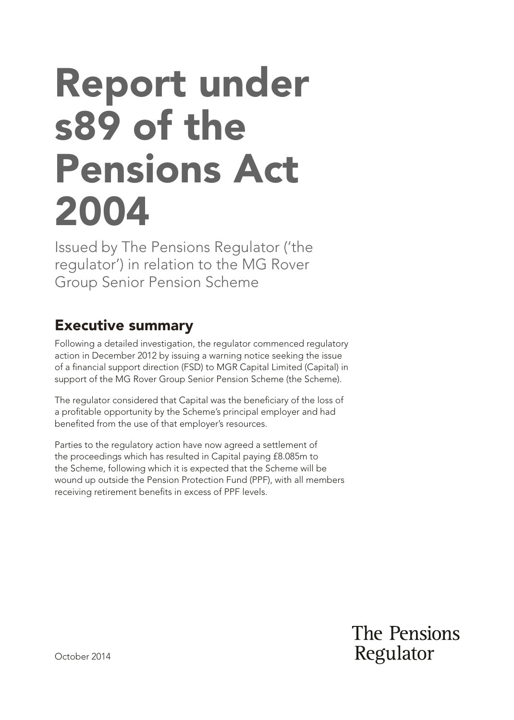# Report under s89 of the Pensions Act 2004

Issued by The Pensions Regulator ('the regulator') in relation to the MG Rover Group Senior Pension Scheme

# Executive summary

Following a detailed investigation, the regulator commenced regulatory action in December 2012 by issuing a warning notice seeking the issue of a fnancial support direction (FSD) to MGR Capital Limited (Capital) in support of the MG Rover Group Senior Pension Scheme (the Scheme).

The regulator considered that Capital was the beneficiary of the loss of a proftable opportunity by the Scheme's principal employer and had benefted from the use of that employer's resources.

Parties to the regulatory action have now agreed a settlement of the proceedings which has resulted in Capital paying £8.085m to the Scheme, following which it is expected that the Scheme will be wound up outside the Pension Protection Fund (PPF), with all members receiving retirement benefts in excess of PPF levels.

> The Pensions Regulator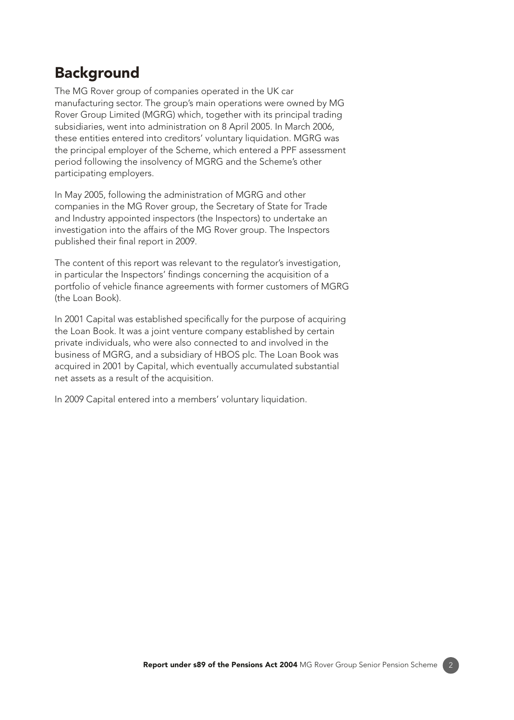## **Background**

The MG Rover group of companies operated in the UK car manufacturing sector. The group's main operations were owned by MG Rover Group Limited (MGRG) which, together with its principal trading subsidiaries, went into administration on 8 April 2005. In March 2006, these entities entered into creditors' voluntary liquidation. MGRG was the principal employer of the Scheme, which entered a PPF assessment period following the insolvency of MGRG and the Scheme's other participating employers.

In May 2005, following the administration of MGRG and other companies in the MG Rover group, the Secretary of State for Trade and Industry appointed inspectors (the Inspectors) to undertake an investigation into the affairs of the MG Rover group. The Inspectors published their final report in 2009.

The content of this report was relevant to the regulator's investigation, in particular the Inspectors' fndings concerning the acquisition of a portfolio of vehicle fnance agreements with former customers of MGRG (the Loan Book).

In 2001 Capital was established specifcally for the purpose of acquiring the Loan Book. It was a joint venture company established by certain private individuals, who were also connected to and involved in the business of MGRG, and a subsidiary of HBOS plc. The Loan Book was acquired in 2001 by Capital, which eventually accumulated substantial net assets as a result of the acquisition.

In 2009 Capital entered into a members' voluntary liquidation.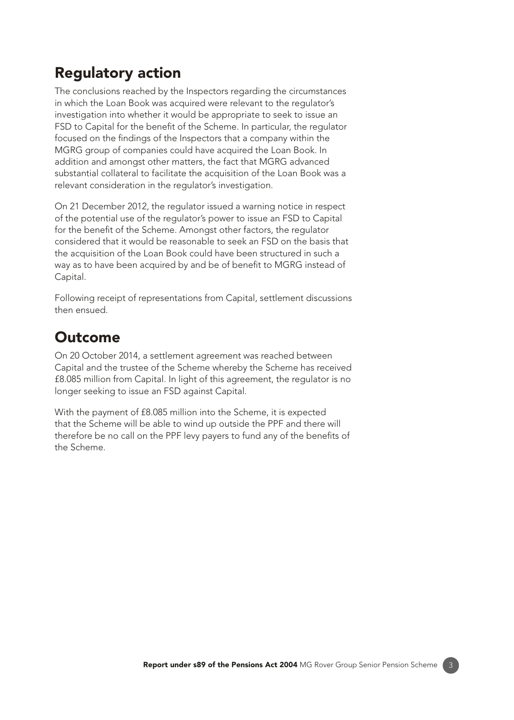# Regulatory action

The conclusions reached by the Inspectors regarding the circumstances in which the Loan Book was acquired were relevant to the regulator's investigation into whether it would be appropriate to seek to issue an FSD to Capital for the benefit of the Scheme. In particular, the regulator focused on the fndings of the Inspectors that a company within the MGRG group of companies could have acquired the Loan Book. In addition and amongst other matters, the fact that MGRG advanced substantial collateral to facilitate the acquisition of the Loan Book was a relevant consideration in the regulator's investigation.

On 21 December 2012, the regulator issued a warning notice in respect of the potential use of the regulator's power to issue an FSD to Capital for the benefit of the Scheme. Amongst other factors, the regulator considered that it would be reasonable to seek an FSD on the basis that the acquisition of the Loan Book could have been structured in such a way as to have been acquired by and be of benefit to MGRG instead of Capital.

Following receipt of representations from Capital, settlement discussions then ensued.

### Outcome

On 20 October 2014, a settlement agreement was reached between Capital and the trustee of the Scheme whereby the Scheme has received £8.085 million from Capital. In light of this agreement, the regulator is no longer seeking to issue an FSD against Capital.

With the payment of £8.085 million into the Scheme, it is expected that the Scheme will be able to wind up outside the PPF and there will therefore be no call on the PPF levy payers to fund any of the benefits of the Scheme.